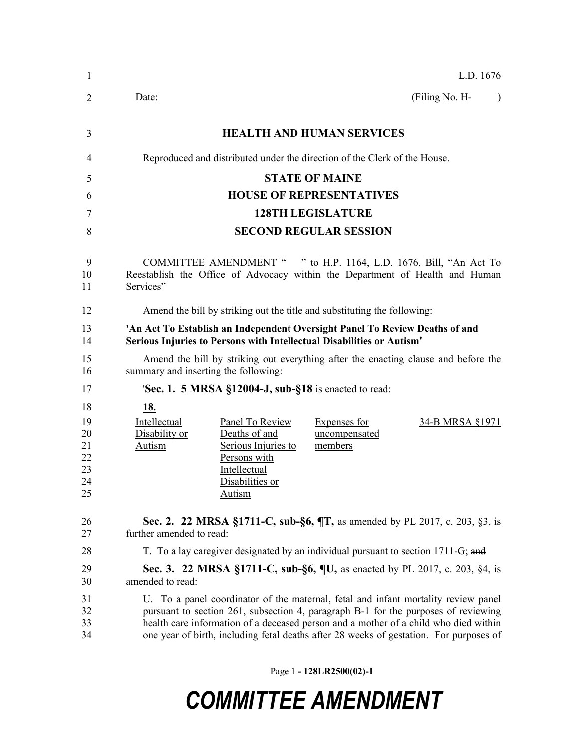| 1                                            | L.D. 1676                                                                                                                                                                                                                                                                                                                                                  |  |  |  |  |
|----------------------------------------------|------------------------------------------------------------------------------------------------------------------------------------------------------------------------------------------------------------------------------------------------------------------------------------------------------------------------------------------------------------|--|--|--|--|
| 2                                            | (Filing No. H-<br>Date:<br>$\lambda$                                                                                                                                                                                                                                                                                                                       |  |  |  |  |
| 3                                            | <b>HEALTH AND HUMAN SERVICES</b>                                                                                                                                                                                                                                                                                                                           |  |  |  |  |
| 4                                            | Reproduced and distributed under the direction of the Clerk of the House.                                                                                                                                                                                                                                                                                  |  |  |  |  |
| 5                                            | <b>STATE OF MAINE</b>                                                                                                                                                                                                                                                                                                                                      |  |  |  |  |
| 6                                            | <b>HOUSE OF REPRESENTATIVES</b>                                                                                                                                                                                                                                                                                                                            |  |  |  |  |
| 7                                            | <b>128TH LEGISLATURE</b>                                                                                                                                                                                                                                                                                                                                   |  |  |  |  |
| 8                                            | <b>SECOND REGULAR SESSION</b>                                                                                                                                                                                                                                                                                                                              |  |  |  |  |
| 9<br>10<br>11                                | COMMITTEE AMENDMENT " " to H.P. 1164, L.D. 1676, Bill, "An Act To<br>Reestablish the Office of Advocacy within the Department of Health and Human<br>Services"                                                                                                                                                                                             |  |  |  |  |
| 12                                           | Amend the bill by striking out the title and substituting the following:                                                                                                                                                                                                                                                                                   |  |  |  |  |
| 13<br>14                                     | 'An Act To Establish an Independent Oversight Panel To Review Deaths of and<br>Serious Injuries to Persons with Intellectual Disabilities or Autism'                                                                                                                                                                                                       |  |  |  |  |
| 15<br>16                                     | Amend the bill by striking out everything after the enacting clause and before the<br>summary and inserting the following:                                                                                                                                                                                                                                 |  |  |  |  |
| 17                                           | <b>Sec. 1. 5 MRSA §12004-J, sub-§18</b> is enacted to read:                                                                                                                                                                                                                                                                                                |  |  |  |  |
| 18<br>19<br>20<br>21<br>22<br>23<br>24<br>25 | <u>18.</u><br>Intellectual<br>Panel To Review<br><b>Expenses for</b><br>34-B MRSA §1971<br>Deaths of and<br>Disability or<br>uncompensated<br><b>Autism</b><br>Serious Injuries to<br>members<br>Persons with<br>Intellectual<br>Disabilities or<br><b>Autism</b>                                                                                          |  |  |  |  |
| 26<br>27                                     | <b>Sec. 2. 22 MRSA §1711-C, sub-§6, <math>\P</math>T</b> , as amended by PL 2017, c. 203, §3, is<br>further amended to read:                                                                                                                                                                                                                               |  |  |  |  |
| 28                                           | T. To a lay caregiver designated by an individual pursuant to section 1711-G; and                                                                                                                                                                                                                                                                          |  |  |  |  |
| 29<br>30                                     | Sec. 3. 22 MRSA §1711-C, sub-§6, ¶U, as enacted by PL 2017, c. 203, §4, is<br>amended to read:                                                                                                                                                                                                                                                             |  |  |  |  |
| 31<br>32<br>33<br>34                         | U. To a panel coordinator of the maternal, fetal and infant mortality review panel<br>pursuant to section 261, subsection 4, paragraph B-1 for the purposes of reviewing<br>health care information of a deceased person and a mother of a child who died within<br>one year of birth, including fetal deaths after 28 weeks of gestation. For purposes of |  |  |  |  |

Page 1 **- 128LR2500(02)-1**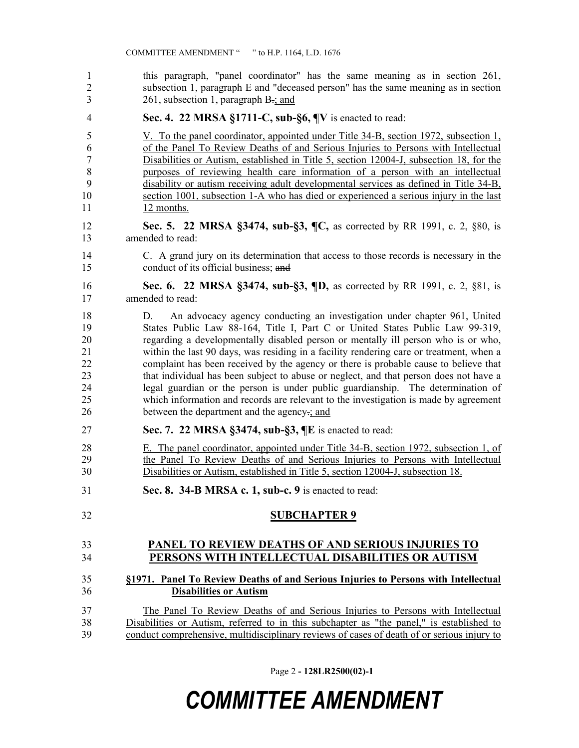this paragraph, "panel coordinator" has the same meaning as in section 261, subsection 1, paragraph E and "deceased person" has the same meaning as in section  $3 \t261$ , subsection 1, paragraph B-; and

**Sec. 4. 22 MRSA §1711-C, sub-§6, ¶V** is enacted to read:

 V. To the panel coordinator, appointed under Title 34-B, section 1972, subsection 1, of the Panel To Review Deaths of and Serious Injuries to Persons with Intellectual Disabilities or Autism, established in Title 5, section 12004-J, subsection 18, for the purposes of reviewing health care information of a person with an intellectual disability or autism receiving adult developmental services as defined in Title 34-B, section 1001, subsection 1-A who has died or experienced a serious injury in the last 11 12 months.

 **Sec. 5. 22 MRSA §3474, sub-§3, ¶C,** as corrected by RR 1991, c. 2, §80, is amended to read:

 C. A grand jury on its determination that access to those records is necessary in the conduct of its official business; and

 **Sec. 6. 22 MRSA §3474, sub-§3, ¶D,** as corrected by RR 1991, c. 2, §81, is amended to read:

 D. An advocacy agency conducting an investigation under chapter 961, United States Public Law 88-164, Title I, Part C or United States Public Law 99-319, regarding a developmentally disabled person or mentally ill person who is or who, within the last 90 days, was residing in a facility rendering care or treatment, when a complaint has been received by the agency or there is probable cause to believe that that individual has been subject to abuse or neglect, and that person does not have a legal guardian or the person is under public guardianship. The determination of which information and records are relevant to the investigation is made by agreement between the department and the agency.; and

- **Sec. 7. 22 MRSA §3474, sub-§3, ¶E** is enacted to read:
- E. The panel coordinator, appointed under Title 34-B, section 1972, subsection 1, of the Panel To Review Deaths of and Serious Injuries to Persons with Intellectual Disabilities or Autism, established in Title 5, section 12004-J, subsection 18.
- **Sec. 8. 34-B MRSA c. 1, sub-c. 9** is enacted to read:

### **SUBCHAPTER 9**

### **PANEL TO REVIEW DEATHS OF AND SERIOUS INJURIES TO PERSONS WITH INTELLECTUAL DISABILITIES OR AUTISM**

### **§1971. Panel To Review Deaths of and Serious Injuries to Persons with Intellectual Disabilities or Autism**

 The Panel To Review Deaths of and Serious Injuries to Persons with Intellectual Disabilities or Autism, referred to in this subchapter as "the panel," is established to conduct comprehensive, multidisciplinary reviews of cases of death of or serious injury to

Page 2 **- 128LR2500(02)-1**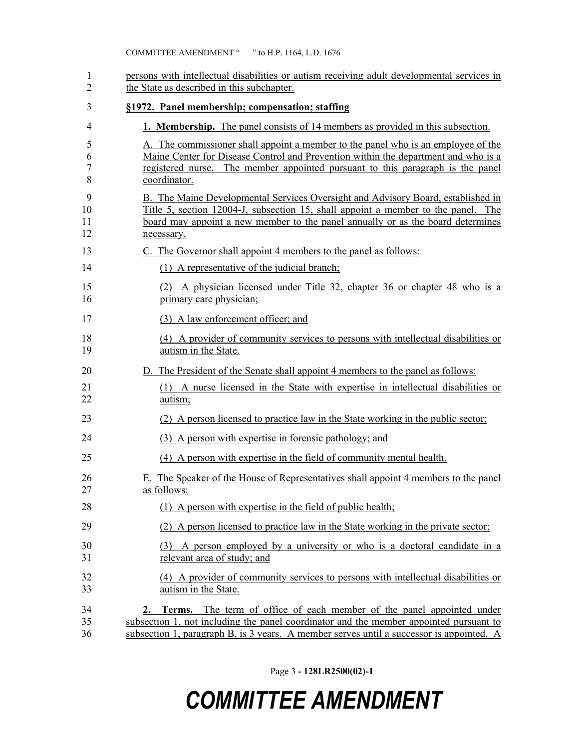| 1<br>$\overline{2}$ | persons with intellectual disabilities or autism receiving adult developmental services in<br>the State as described in this subchapter.                                                                                                                                  |
|---------------------|---------------------------------------------------------------------------------------------------------------------------------------------------------------------------------------------------------------------------------------------------------------------------|
| 3                   | §1972. Panel membership; compensation; staffing                                                                                                                                                                                                                           |
| 4                   | <b>1. Membership.</b> The panel consists of 14 members as provided in this subsection.                                                                                                                                                                                    |
| 5<br>6<br>7<br>8    | A. The commissioner shall appoint a member to the panel who is an employee of the<br>Maine Center for Disease Control and Prevention within the department and who is a<br>registered nurse. The member appointed pursuant to this paragraph is the panel<br>coordinator. |
| 9<br>10<br>11<br>12 | B. The Maine Developmental Services Oversight and Advisory Board, established in<br>Title 5, section 12004-J, subsection 15, shall appoint a member to the panel. The<br>board may appoint a new member to the panel annually or as the board determines<br>necessary.    |
| 13                  | C. The Governor shall appoint 4 members to the panel as follows:                                                                                                                                                                                                          |
| 14                  | (1) A representative of the judicial branch;                                                                                                                                                                                                                              |
| 15<br>16            | (2) A physician licensed under Title 32, chapter 36 or chapter 48 who is a<br>primary care physician;                                                                                                                                                                     |
| 17                  | (3) A law enforcement officer; and                                                                                                                                                                                                                                        |
| 18<br>19            | (4) A provider of community services to persons with intellectual disabilities or<br>autism in the State.                                                                                                                                                                 |
| 20                  | D. The President of the Senate shall appoint 4 members to the panel as follows:                                                                                                                                                                                           |
| 21<br>22            | (1) A nurse licensed in the State with expertise in intellectual disabilities or<br>autism;                                                                                                                                                                               |
| 23                  | (2) A person licensed to practice law in the State working in the public sector;                                                                                                                                                                                          |
| 24                  | (3) A person with expertise in forensic pathology; and                                                                                                                                                                                                                    |
| 25                  | (4) A person with expertise in the field of community mental health.                                                                                                                                                                                                      |
| 26<br>27            | E. The Speaker of the House of Representatives shall appoint 4 members to the panel<br>as follows:                                                                                                                                                                        |
| 28                  | (1) A person with expertise in the field of public health;                                                                                                                                                                                                                |
| 29                  | (2) A person licensed to practice law in the State working in the private sector;                                                                                                                                                                                         |
| 30<br>31            | (3) A person employed by a university or who is a doctoral candidate in a<br>relevant area of study; and                                                                                                                                                                  |
| 32<br>33            | (4) A provider of community services to persons with intellectual disabilities or<br>autism in the State.                                                                                                                                                                 |
| 34<br>35<br>36      | 2. Terms. The term of office of each member of the panel appointed under<br>subsection 1, not including the panel coordinator and the member appointed pursuant to<br>subsection 1, paragraph B, is 3 years. A member serves until a successor is appointed. A            |

Page 3 **- 128LR2500(02)-1**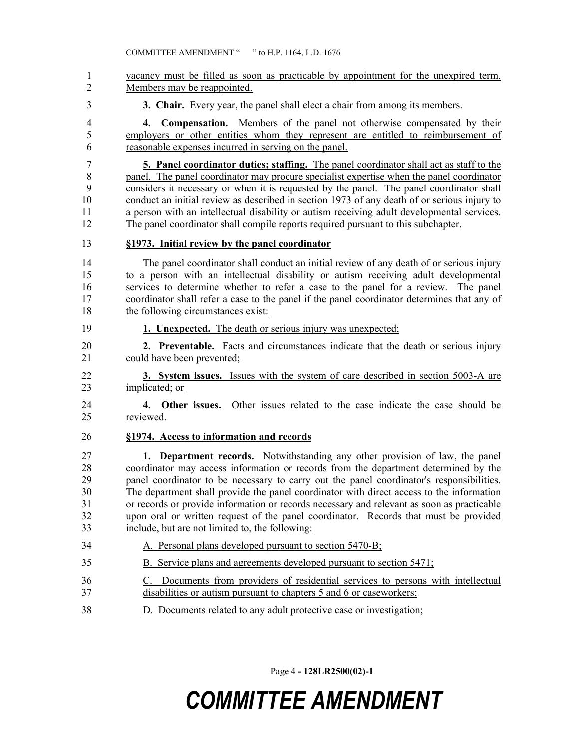| 1              | vacancy must be filled as soon as practicable by appointment for the unexpired term.                                                                       |
|----------------|------------------------------------------------------------------------------------------------------------------------------------------------------------|
| $\overline{2}$ | Members may be reappointed.                                                                                                                                |
| 3              | 3. Chair. Every year, the panel shall elect a chair from among its members.                                                                                |
| 4              | 4. Compensation. Members of the panel not otherwise compensated by their                                                                                   |
| 5              | employers or other entities whom they represent are entitled to reimbursement of                                                                           |
| 6              | reasonable expenses incurred in serving on the panel.                                                                                                      |
| 7              | <b>5. Panel coordinator duties; staffing.</b> The panel coordinator shall act as staff to the                                                              |
| 8              | panel. The panel coordinator may procure specialist expertise when the panel coordinator                                                                   |
| 9              | considers it necessary or when it is requested by the panel. The panel coordinator shall                                                                   |
| 10             | conduct an initial review as described in section 1973 of any death of or serious injury to                                                                |
| 11             | a person with an intellectual disability or autism receiving adult developmental services.                                                                 |
| 12             | The panel coordinator shall compile reports required pursuant to this subchapter.                                                                          |
| 13             | §1973. Initial review by the panel coordinator                                                                                                             |
| 14             | The panel coordinator shall conduct an initial review of any death of or serious injury                                                                    |
| 15             | to a person with an intellectual disability or autism receiving adult developmental                                                                        |
| 16             | services to determine whether to refer a case to the panel for a review. The panel                                                                         |
| 17             | coordinator shall refer a case to the panel if the panel coordinator determines that any of                                                                |
| 18             | the following circumstances exist:                                                                                                                         |
| 19             | 1. Unexpected. The death or serious injury was unexpected;                                                                                                 |
| 20             | <b>2. Preventable.</b> Facts and circumstances indicate that the death or serious injury                                                                   |
| 21             | could have been prevented;                                                                                                                                 |
| 22             | 3. System issues. Issues with the system of care described in section 5003-A are                                                                           |
| 23             | implicated; or                                                                                                                                             |
| 24             | 4. Other issues. Other issues related to the case indicate the case should be                                                                              |
| 25             | reviewed.                                                                                                                                                  |
| 26             | §1974. Access to information and records                                                                                                                   |
| 27             | <b>1. Department records.</b> Notwithstanding any other provision of law, the panel                                                                        |
| 28             | coordinator may access information or records from the department determined by the                                                                        |
| 29             | panel coordinator to be necessary to carry out the panel coordinator's responsibilities.                                                                   |
| 30             | The department shall provide the panel coordinator with direct access to the information                                                                   |
| 31             | or records or provide information or records necessary and relevant as soon as practicable                                                                 |
| 32             | upon oral or written request of the panel coordinator. Records that must be provided                                                                       |
| 33             | include, but are not limited to, the following:                                                                                                            |
| 34             | A. Personal plans developed pursuant to section 5470-B;                                                                                                    |
| 35             | B. Service plans and agreements developed pursuant to section 5471;                                                                                        |
| 36<br>37       | Documents from providers of residential services to persons with intellectual<br>C.<br>disabilities or autism pursuant to chapters 5 and 6 or caseworkers; |
| 38             | D. Documents related to any adult protective case or investigation;                                                                                        |

Page 4 **- 128LR2500(02)-1**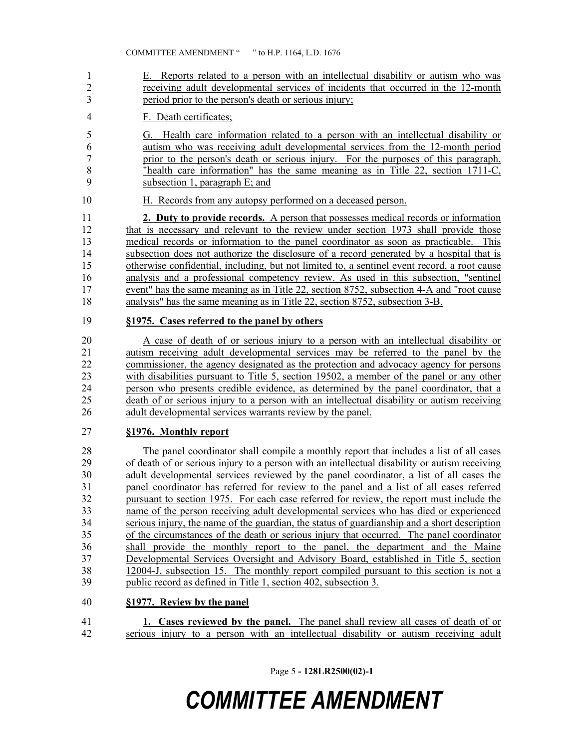- E. Reports related to a person with an intellectual disability or autism who was receiving adult developmental services of incidents that occurred in the 12-month period prior to the person's death or serious injury;
- F. Death certificates;
- G. Health care information related to a person with an intellectual disability or autism who was receiving adult developmental services from the 12-month period prior to the person's death or serious injury. For the purposes of this paragraph, "health care information" has the same meaning as in Title 22, section 1711-C, subsection 1, paragraph E; and
- H. Records from any autopsy performed on a deceased person.

 **2. Duty to provide records.** A person that possesses medical records or information 12 that is necessary and relevant to the review under section 1973 shall provide those medical records or information to the panel coordinator as soon as practicable. This subsection does not authorize the disclosure of a record generated by a hospital that is otherwise confidential, including, but not limited to, a sentinel event record, a root cause analysis and a professional competency review. As used in this subsection, "sentinel 17 event" has the same meaning as in Title 22, section 8752, subsection 4-A and "root cause" analysis" has the same meaning as in Title 22, section 8752, subsection 3-B.

#### **§1975. Cases referred to the panel by others**

 A case of death of or serious injury to a person with an intellectual disability or autism receiving adult developmental services may be referred to the panel by the commissioner, the agency designated as the protection and advocacy agency for persons with disabilities pursuant to Title 5, section 19502, a member of the panel or any other person who presents credible evidence, as determined by the panel coordinator, that a death of or serious injury to a person with an intellectual disability or autism receiving adult developmental services warrants review by the panel.

#### **§1976. Monthly report**

 The panel coordinator shall compile a monthly report that includes a list of all cases of death of or serious injury to a person with an intellectual disability or autism receiving adult developmental services reviewed by the panel coordinator, a list of all cases the panel coordinator has referred for review to the panel and a list of all cases referred pursuant to section 1975. For each case referred for review, the report must include the name of the person receiving adult developmental services who has died or experienced serious injury, the name of the guardian, the status of guardianship and a short description of the circumstances of the death or serious injury that occurred. The panel coordinator shall provide the monthly report to the panel, the department and the Maine Developmental Services Oversight and Advisory Board, established in Title 5, section 12004-J, subsection 15. The monthly report compiled pursuant to this section is not a public record as defined in Title 1, section 402, subsection 3.

#### **§1977. Review by the panel**

 **1. Cases reviewed by the panel.** The panel shall review all cases of death of or serious injury to a person with an intellectual disability or autism receiving adult

Page 5 **- 128LR2500(02)-1**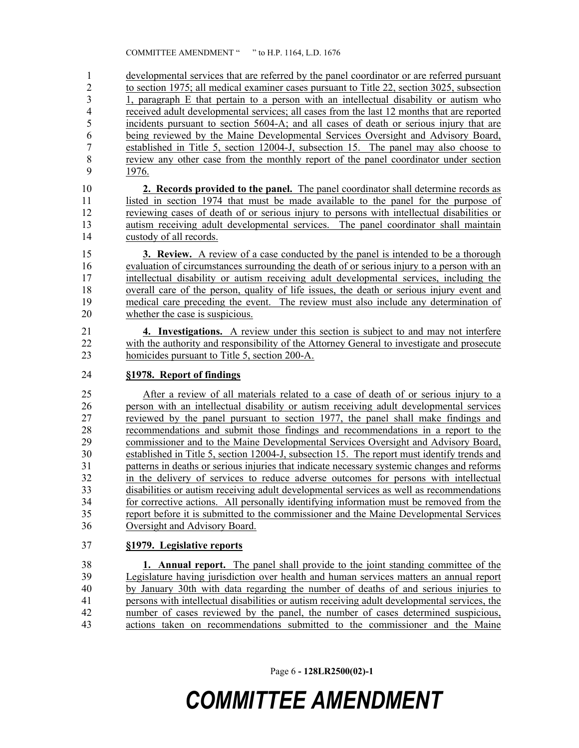developmental services that are referred by the panel coordinator or are referred pursuant 2 to section 1975; all medical examiner cases pursuant to Title 22, section 3025, subsection 2.1 a paragraph E that pertain to a person with an intellectual disability or autism who 1, paragraph E that pertain to a person with an intellectual disability or autism who received adult developmental services; all cases from the last 12 months that are reported incidents pursuant to section 5604-A; and all cases of death or serious injury that are being reviewed by the Maine Developmental Services Oversight and Advisory Board, established in Title 5, section 12004-J, subsection 15. The panel may also choose to 8 review any other case from the monthly report of the panel coordinator under section 1976.

 **2. Records provided to the panel.** The panel coordinator shall determine records as listed in section 1974 that must be made available to the panel for the purpose of reviewing cases of death of or serious injury to persons with intellectual disabilities or autism receiving adult developmental services. The panel coordinator shall maintain custody of all records.

 **3. Review.** A review of a case conducted by the panel is intended to be a thorough evaluation of circumstances surrounding the death of or serious injury to a person with an intellectual disability or autism receiving adult developmental services, including the overall care of the person, quality of life issues, the death or serious injury event and medical care preceding the event. The review must also include any determination of whether the case is suspicious.

 **4. Investigations.** A review under this section is subject to and may not interfere with the authority and responsibility of the Attorney General to investigate and prosecute homicides pursuant to Title 5, section 200-A.

### **§1978. Report of findings**

 After a review of all materials related to a case of death of or serious injury to a person with an intellectual disability or autism receiving adult developmental services reviewed by the panel pursuant to section 1977, the panel shall make findings and recommendations and submit those findings and recommendations in a report to the commissioner and to the Maine Developmental Services Oversight and Advisory Board, established in Title 5, section 12004-J, subsection 15. The report must identify trends and patterns in deaths or serious injuries that indicate necessary systemic changes and reforms in the delivery of services to reduce adverse outcomes for persons with intellectual disabilities or autism receiving adult developmental services as well as recommendations for corrective actions. All personally identifying information must be removed from the report before it is submitted to the commissioner and the Maine Developmental Services Oversight and Advisory Board.

### **§1979. Legislative reports**

 **1. Annual report.** The panel shall provide to the joint standing committee of the Legislature having jurisdiction over health and human services matters an annual report by January 30th with data regarding the number of deaths of and serious injuries to persons with intellectual disabilities or autism receiving adult developmental services, the number of cases reviewed by the panel, the number of cases determined suspicious, actions taken on recommendations submitted to the commissioner and the Maine

Page 6 **- 128LR2500(02)-1**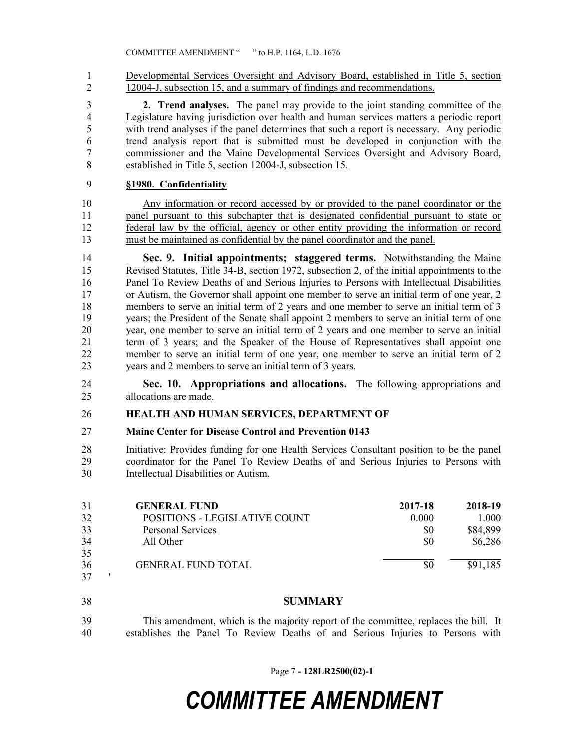Developmental Services Oversight and Advisory Board, established in Title 5, section 12004-J, subsection 15, and a summary of findings and recommendations.

 **2. Trend analyses.** The panel may provide to the joint standing committee of the Legislature having jurisdiction over health and human services matters a periodic report with trend analyses if the panel determines that such a report is necessary. Any periodic trend analysis report that is submitted must be developed in conjunction with the commissioner and the Maine Developmental Services Oversight and Advisory Board, established in Title 5, section 12004-J, subsection 15.

### **§1980. Confidentiality**

 Any information or record accessed by or provided to the panel coordinator or the panel pursuant to this subchapter that is designated confidential pursuant to state or federal law by the official, agency or other entity providing the information or record must be maintained as confidential by the panel coordinator and the panel.

 **Sec. 9. Initial appointments; staggered terms.** Notwithstanding the Maine Revised Statutes, Title 34-B, section 1972, subsection 2, of the initial appointments to the Panel To Review Deaths of and Serious Injuries to Persons with Intellectual Disabilities or Autism, the Governor shall appoint one member to serve an initial term of one year, 2 members to serve an initial term of 2 years and one member to serve an initial term of 3 years; the President of the Senate shall appoint 2 members to serve an initial term of one year, one member to serve an initial term of 2 years and one member to serve an initial term of 3 years; and the Speaker of the House of Representatives shall appoint one member to serve an initial term of one year, one member to serve an initial term of 2 years and 2 members to serve an initial term of 3 years.

 **Sec. 10. Appropriations and allocations.** The following appropriations and allocations are made.

#### **HEALTH AND HUMAN SERVICES, DEPARTMENT OF**

#### **Maine Center for Disease Control and Prevention 0143**

 Initiative: Provides funding for one Health Services Consultant position to be the panel coordinator for the Panel To Review Deaths of and Serious Injuries to Persons with Intellectual Disabilities or Autism.

| 31 | <b>GENERAL FUND</b>           | 2017-18 | 2018-19  |
|----|-------------------------------|---------|----------|
| 32 | POSITIONS - LEGISLATIVE COUNT | 0.000   | 1.000    |
| 33 | <b>Personal Services</b>      | \$0     | \$84,899 |
| 34 | All Other                     | \$0     | \$6,286  |
| 35 |                               |         |          |
| 36 | <b>GENERAL FUND TOTAL</b>     | \$0     | \$91,185 |
| 37 |                               |         |          |

#### **SUMMARY**

 This amendment, which is the majority report of the committee, replaces the bill. It establishes the Panel To Review Deaths of and Serious Injuries to Persons with

Page 7 **- 128LR2500(02)-1**